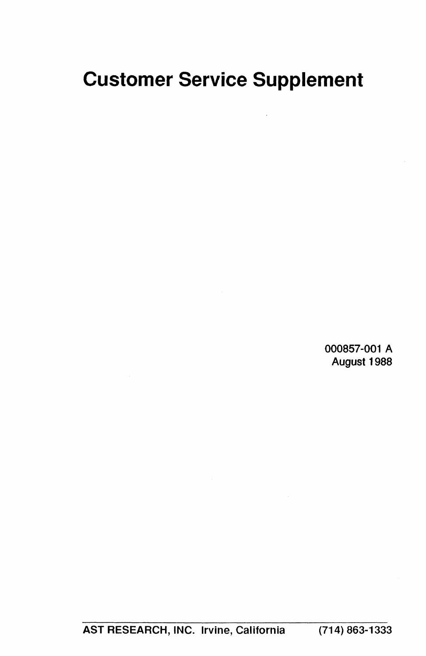# **Customer Service Supplement**

000857-001 A August 1988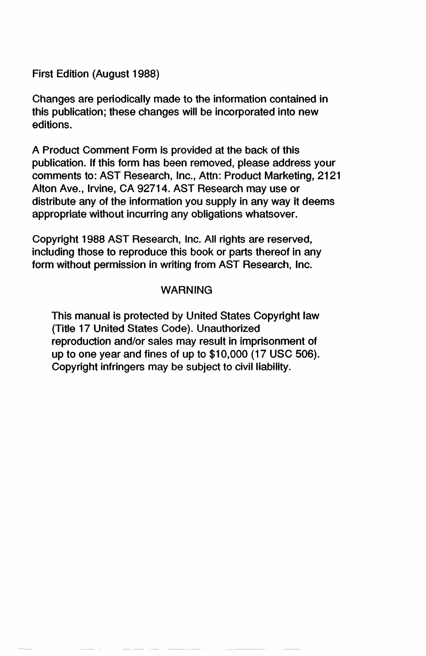First Edition (August 1988)

Changes are periodically made to the information contained in this publication; these changes will be incorporated into new editions.

A Product Comment Form Is provided at the back of this publication. If this form has been removed, please address your comments to: AST Research, Inc., Attn: Product Marketing, 2121 Alton Ave., Irvine, CA 92714. AST Research may use or distribute any of the information you supply in any way it deems appropriate without incurring any obligations whatsover.

Copyright 1988 AST Research, Inc. All rights are reserved, including those to reproduce this book or parts thereof in any form without permission in writing from AST Research, Inc.

#### WARNING

This manual is protected by United States Copyright law (Title 17 United States Code). Unauthorized reproduction and/or sales may result in imprisonment of up to one year and fines of up to \$10,000 (17 USC 506). Copyright infringers may be subject to civil liability.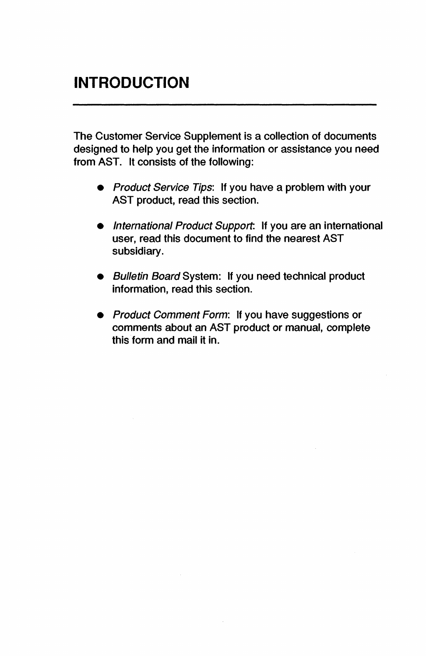The Customer Service Supplement is a collection of documents designed to help you get the information or assistance you need from AST. It consists of the following:

- Product Service Tips: It you have a problem with your AST product, read this section.
- International Product Support: If you are an international user, read this document to find the nearest AST subsidiary.
- Bulletin Board System: If you need technical product Information, read this section.
- Product Comment Form: If you have suggestions or comments about an AST product or manual, complete this form and mail it in.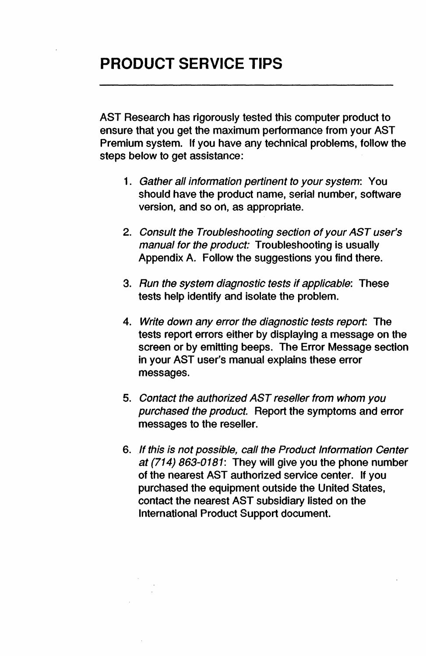AST Research has rigorously tested this computer product to ensure that you get the maximum performance from your AST Premium system. If you have any technical problems, follow the steps below to get assistance:

- 1. Gather all information pertinent to your system: You should have the product name, serial number, software version, and so on, as appropriate.
- *2.* Consult the Troubleshooting section of your AST user's manual for the product: Troubleshooting is usually Appendix A. Follow the suggestions you find there.
- *3.* Run the system diagnostic tests if applicable: These tests help identify and isolate the problem.
- 4. Write down any error the diagnostic tests report: The tests report errors either by displaying a message on the screen or by emitting beeps. The Error Message section in your AST user's manual explains these error messages.
- *5.* Contact the authorized AST reseller from whom you purchased the product. Report the symptoms and error messages to the reseller.
- 6. If this is not possible, call the Product Information Center at (714) 863-0181: They will give you the phone number of the nearest AST authorized service center. If you purchased the equipment outside the United States, contact the nearest AST subsidiary listed on the International Product Support document.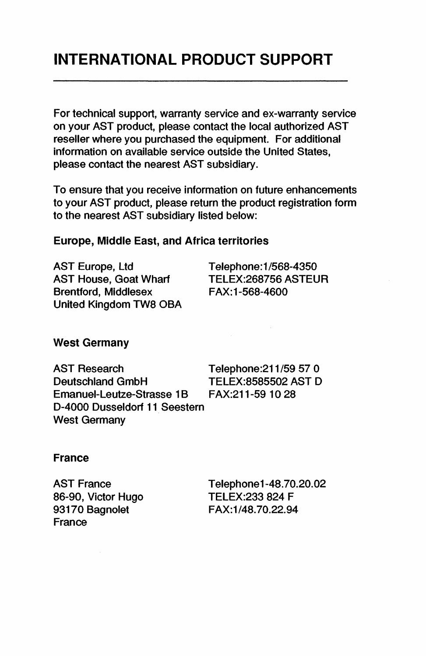## **INTERNATIONAL PRODUCT SUPPORT**

For technical support, warranty service and ex-warranty service on your AST product, please contact the local authorized AST reseller where you purchased the equipment. For additional information on available service outside the United States, please contact the nearest AST subsidiary.

To ensure that you receive information on future enhancements to your AST product, please return the product registration form to the nearest AST subsidiary listed below:

#### Europe, Middle East, and Africa territories

AST Europe, Ltd AST House, Goat Wharf Brentford, Middlesex United Kingdom TW8 OBA Telephone:1/568-4350 TELEX:268756 ASTEUR FAX: 1-568-4600

#### West Germany

AST Research Telephone:211/59 57 0 Deutschland GmbH TELEX:8585502 AST D<br>Emanuel-Leutze-Strasse 1B FAX:211-59 10 28 Emanuel-Leutze-Strasse 1B 0-4000 Dusseldorf 11 Seestern West Germany

#### France

AST France 86-90, Victor Hugo 93170 Bagnolet France

Telephonel-48.70.20.02 TELEX:233 824 F FAX:1/48.70.22.94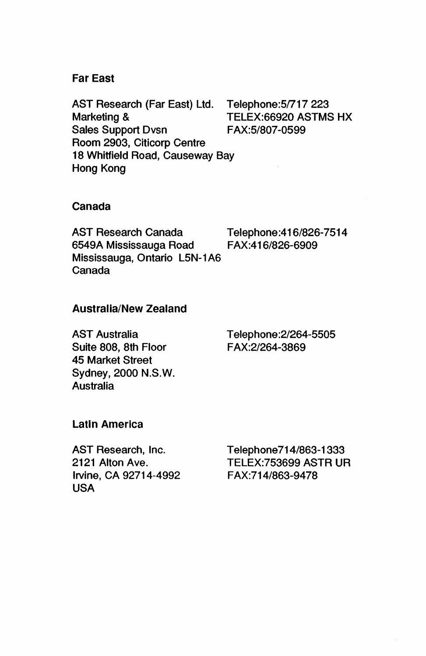#### Far East

AST Research (Far East) Ltd. Marketing & Sales Support Dvsn Room 2903, Citicorp Centre 18 Whitfield Road, Causeway Bay Hong Kong

Telephone:51717223 TELEX:66920 ASTMS HX FAX:5/807-0599

#### Canada

AST Research Canada Telephone:416/826-7514 6549A Mississauga Road FAX:416/826-6909 Mississauga, Ontario L5N-1 A6 Canada

#### Australia/New Zealand

AST Australia Suite 808, 8th Floor 45 Market Street Sydney, 2000 N.S.W. Australia

Telephone:2/264-5505 FAX:21264-3869

#### Latin America

AST Research, Inc. 2121 Alton Ave. Irvine, CA 92714-4992 USA

Telephone714/863-1333 TELEX:753699 ASTR UR FAX:714/863-9478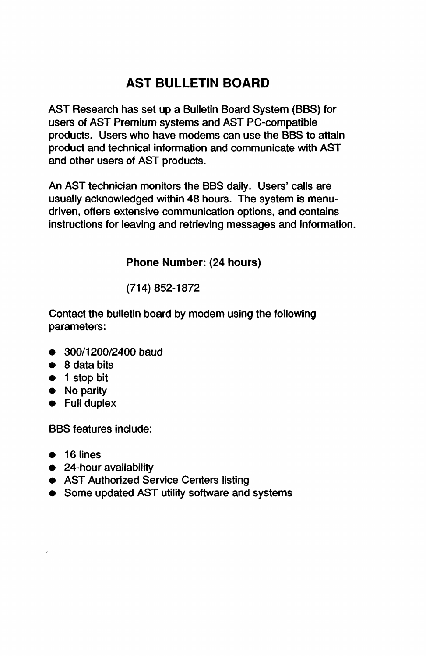### **AST BULLETIN BOARD**

AST Research has set up a Bulletin Board System (BBS) for users of AST Premium systems and AST PC-compatible products. Users who have modems can use the BBS to attain product and technical information and communicate with AST and other users of AST products.

An AST technician monitors the BBS daily. Users' calls are usually acknowledged within 48 hours. The system is menudriven, offers extensive communication options, and contains instructions for leaving and retrieving messages and information.

Phone Number: (24 hours)

(714) 852-1872

Contact the bulletin board by modem using the following parameters:

- 300/1200/2400 baud
- 8 data bits
- 1 stop bit
- No parity
- Full duplex

BBS features Include:

- $\bullet$  16 lines
- 24-hour availability
- AST Authorized Service Centers listing
- Some updated AST utility software and systems